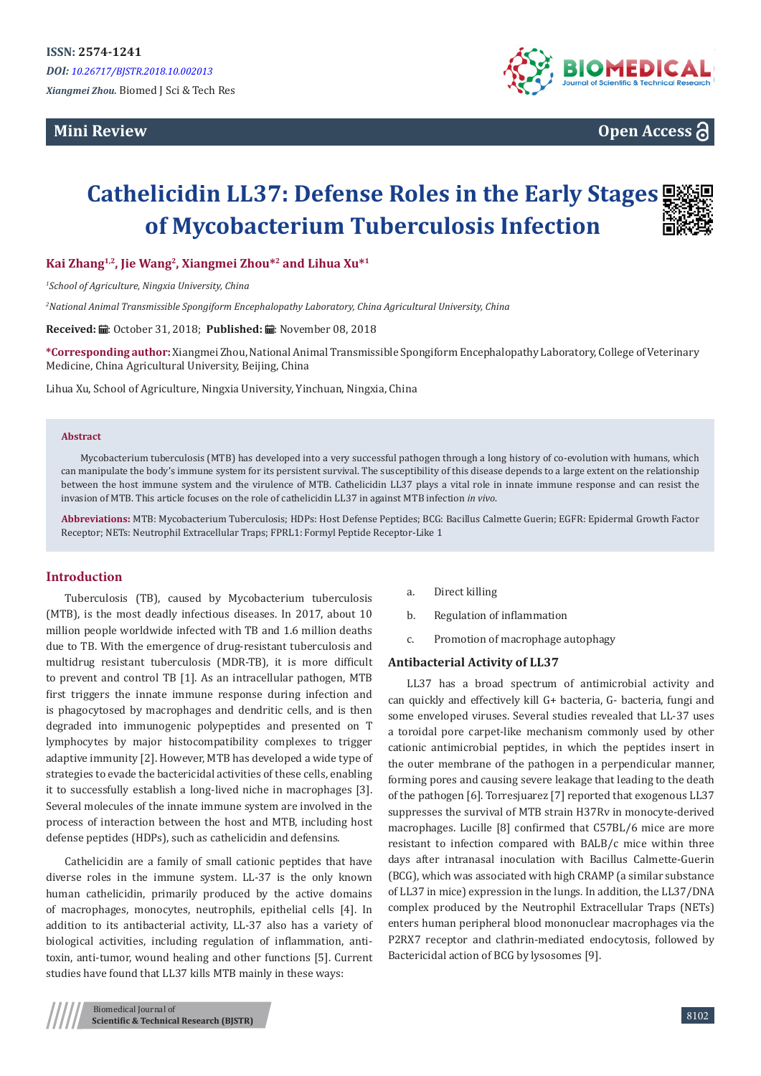**Mini Review** 



**Open Access**

# **Cathelicidin LL37: Defense Roles in the Early Stages of Mycobacterium Tuberculosis Infection**

**Kai Zhang1,2, Jie Wang<sup>2</sup>, Xiangmei Zhou\*<sup>2</sup> and Lihua Xu\*<sup>1</sup>**

*1 School of Agriculture, Ningxia University, China*

*2 National Animal Transmissible Spongiform Encephalopathy Laboratory, China Agricultural University, China*

Received: *a* : October 31, 2018; Published: a : November 08, 2018

**\*Corresponding author:** Xiangmei Zhou, National Animal Transmissible Spongiform Encephalopathy Laboratory, College of Veterinary Medicine, China Agricultural University, Beijing, China

Lihua Xu, School of Agriculture, Ningxia University, Yinchuan, Ningxia, China

#### **Abstract**

Mycobacterium tuberculosis (MTB) has developed into a very successful pathogen through a long history of co-evolution with humans, which can manipulate the body's immune system for its persistent survival. The susceptibility of this disease depends to a large extent on the relationship between the host immune system and the virulence of MTB. Cathelicidin LL37 plays a vital role in innate immune response and can resist the invasion of MTB. This article focuses on the role of cathelicidin LL37 in against MTB infection *in vivo*.

**Abbreviations:** MTB: Mycobacterium Tuberculosis; HDPs: Host Defense Peptides; BCG: Bacillus Calmette Guerin; EGFR: Epidermal Growth Factor Receptor; NETs: Neutrophil Extracellular Traps; FPRL1: Formyl Peptide Receptor-Like 1

## **Introduction**

Tuberculosis (TB), caused by Mycobacterium tuberculosis (MTB), is the most deadly infectious diseases. In 2017, about 10 million people worldwide infected with TB and 1.6 million deaths due to TB. With the emergence of drug-resistant tuberculosis and multidrug resistant tuberculosis (MDR-TB), it is more difficult to prevent and control TB [1]. As an intracellular pathogen, MTB first triggers the innate immune response during infection and is phagocytosed by macrophages and dendritic cells, and is then degraded into immunogenic polypeptides and presented on T lymphocytes by major histocompatibility complexes to trigger adaptive immunity [2]. However, MTB has developed a wide type of strategies to evade the bactericidal activities of these cells, enabling it to successfully establish a long-lived niche in macrophages [3]. Several molecules of the innate immune system are involved in the process of interaction between the host and MTB, including host defense peptides (HDPs), such as cathelicidin and defensins.

Cathelicidin are a family of small cationic peptides that have diverse roles in the immune system. LL-37 is the only known human cathelicidin, primarily produced by the active domains of macrophages, monocytes, neutrophils, epithelial cells [4]. In addition to its antibacterial activity, LL-37 also has a variety of biological activities, including regulation of inflammation, antitoxin, anti-tumor, wound healing and other functions [5]. Current studies have found that LL37 kills MTB mainly in these ways:

- a. Direct killing
- b. Regulation of inflammation
- c. Promotion of macrophage autophagy

#### **Antibacterial Activity of LL37**

LL37 has a broad spectrum of antimicrobial activity and can quickly and effectively kill G+ bacteria, G- bacteria, fungi and some enveloped viruses. Several studies revealed that LL-37 uses a toroidal pore carpet-like mechanism commonly used by other cationic antimicrobial peptides, in which the peptides insert in the outer membrane of the pathogen in a perpendicular manner, forming pores and causing severe leakage that leading to the death of the pathogen [6]. Torresjuarez [7] reported that exogenous LL37 suppresses the survival of MTB strain H37Rv in monocyte-derived macrophages. Lucille [8] confirmed that C57BL/6 mice are more resistant to infection compared with BALB/c mice within three days after intranasal inoculation with Bacillus Calmette-Guerin (BCG), which was associated with high CRAMP (a similar substance of LL37 in mice) expression in the lungs. In addition, the LL37/DNA complex produced by the Neutrophil Extracellular Traps (NETs) enters human peripheral blood mononuclear macrophages via the P2RX7 receptor and clathrin-mediated endocytosis, followed by Bactericidal action of BCG by lysosomes [9].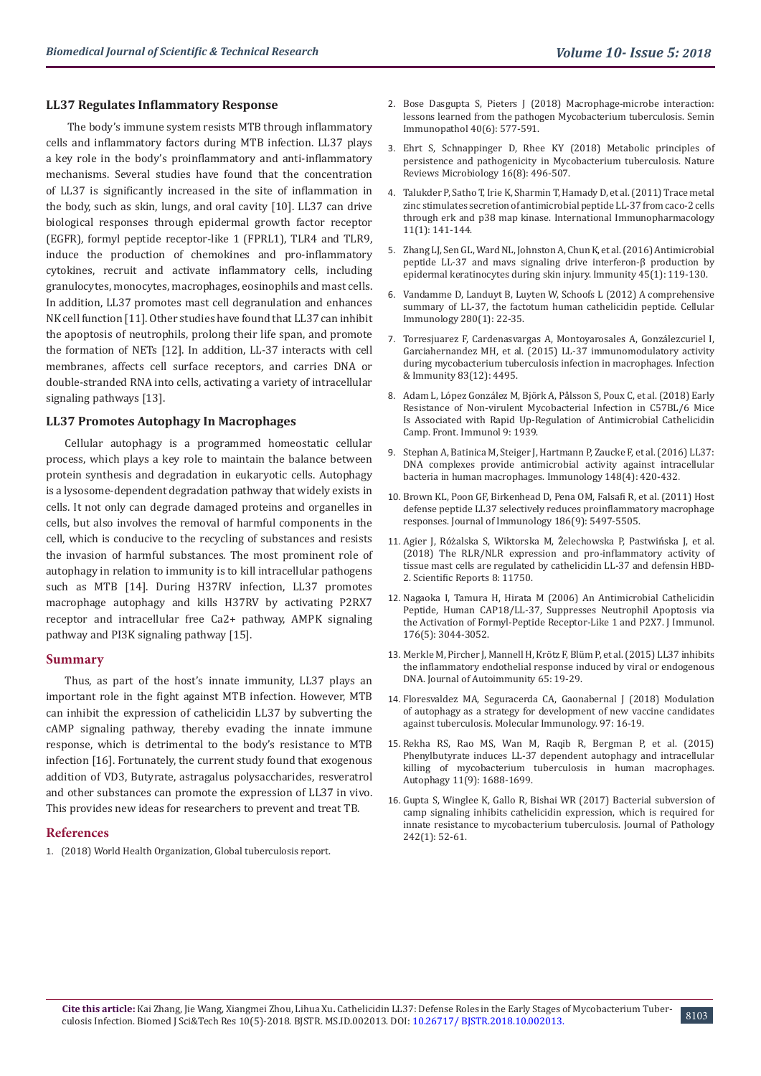# **LL37 Regulates Inflammatory Response**

 The body's immune system resists MTB through inflammatory cells and inflammatory factors during MTB infection. LL37 plays a key role in the body's proinflammatory and anti-inflammatory mechanisms. Several studies have found that the concentration of LL37 is significantly increased in the site of inflammation in the body, such as skin, lungs, and oral cavity [10]. LL37 can drive biological responses through epidermal growth factor receptor (EGFR), formyl peptide receptor-like 1 (FPRL1), TLR4 and TLR9, induce the production of chemokines and pro-inflammatory cytokines, recruit and activate inflammatory cells, including granulocytes, monocytes, macrophages, eosinophils and mast cells. In addition, LL37 promotes mast cell degranulation and enhances NK cell function [11]. Other studies have found that LL37 can inhibit the apoptosis of neutrophils, prolong their life span, and promote the formation of NETs [12]. In addition, LL-37 interacts with cell membranes, affects cell surface receptors, and carries DNA or double-stranded RNA into cells, activating a variety of intracellular signaling pathways [13].

## **LL37 Promotes Autophagy In Macrophages**

Cellular autophagy is a programmed homeostatic cellular process, which plays a key role to maintain the balance between protein synthesis and degradation in eukaryotic cells. Autophagy is a lysosome-dependent degradation pathway that widely exists in cells. It not only can degrade damaged proteins and organelles in cells, but also involves the removal of harmful components in the cell, which is conducive to the recycling of substances and resists the invasion of harmful substances. The most prominent role of autophagy in relation to immunity is to kill intracellular pathogens such as MTB [14]. During H37RV infection, LL37 promotes macrophage autophagy and kills H37RV by activating P2RX7 receptor and intracellular free Ca2+ pathway, AMPK signaling pathway and PI3K signaling pathway [15].

#### **Summary**

Thus, as part of the host's innate immunity, LL37 plays an important role in the fight against MTB infection. However, MTB can inhibit the expression of cathelicidin LL37 by subverting the cAMP signaling pathway, thereby evading the innate immune response, which is detrimental to the body's resistance to MTB infection [16]. Fortunately, the current study found that exogenous addition of VD3, Butyrate, astragalus polysaccharides, resveratrol and other substances can promote the expression of LL37 in vivo. This provides new ideas for researchers to prevent and treat TB.

## **References**

1. (2018) [World Health Organization, Global tuberculosis report.](http://www.who.int/tb/publications/global_report/en/)

- 2. [Bose Dasgupta S, Pieters J \(2018\) Macrophage-microbe interaction:](https://www.ncbi.nlm.nih.gov/pubmed/30306257) [lessons learned from the pathogen Mycobacterium tuberculosis. Semin](https://www.ncbi.nlm.nih.gov/pubmed/30306257) [Immunopathol 40\(6\): 577-591.](https://www.ncbi.nlm.nih.gov/pubmed/30306257)
- 3. [Ehrt S, Schnappinger D, Rhee KY \(2018\) Metabolic principles of](https://www.ncbi.nlm.nih.gov/pubmed/29691481) [persistence and pathogenicity in Mycobacterium tuberculosis. Nature](https://www.ncbi.nlm.nih.gov/pubmed/29691481) [Reviews Microbiology 16\(8\): 496-507.](https://www.ncbi.nlm.nih.gov/pubmed/29691481)
- 4. [Talukder P, Satho T, Irie K, Sharmin T, Hamady D, et al. \(2011\) Trace metal](https://www.ncbi.nlm.nih.gov/pubmed/21035435) [zinc stimulates secretion of antimicrobial peptide LL-37 from caco-2 cells](https://www.ncbi.nlm.nih.gov/pubmed/21035435) [through erk and p38 map kinase. International Immunopharmacology](https://www.ncbi.nlm.nih.gov/pubmed/21035435) [11\(1\): 141-144.](https://www.ncbi.nlm.nih.gov/pubmed/21035435)
- 5. [Zhang LJ, Sen GL, Ward NL, Johnston A, Chun K, et al. \(2016\) Antimicrobial](https://www.ncbi.nlm.nih.gov/pubmed/27438769) [peptide LL-37 and mavs signaling drive interferon-β production by](https://www.ncbi.nlm.nih.gov/pubmed/27438769) [epidermal keratinocytes during skin injury. Immunity 45\(1\): 119-130.](https://www.ncbi.nlm.nih.gov/pubmed/27438769)
- 6. [Vandamme D, Landuyt B, Luyten W, Schoofs L \(2012\) A comprehensive](https://www.ncbi.nlm.nih.gov/pubmed/23246832) [summary of LL-37, the factotum human cathelicidin peptide. Cellular](https://www.ncbi.nlm.nih.gov/pubmed/23246832) [Immunology 280\(1\): 22-35.](https://www.ncbi.nlm.nih.gov/pubmed/23246832)
- 7. [Torresjuarez F, Cardenasvargas A, Montoyarosales A, Gonzálezcuriel I,](https://iai.asm.org/content/83/12/4495) [Garciahernandez MH, et al. \(2015\) LL-37 immunomodulatory activity](https://iai.asm.org/content/83/12/4495) [during mycobacterium tuberculosis infection in macrophages. Infection](https://iai.asm.org/content/83/12/4495) [& Immunity 83\(12\): 4495.](https://iai.asm.org/content/83/12/4495)
- 8. [Adam L, López González M, Björk A, Pålsson S, Poux C, et al. \(2018\) Early](https://www.ncbi.nlm.nih.gov/pubmed/30233570) [Resistance of Non-virulent Mycobacterial Infection in C57BL/6 Mice](https://www.ncbi.nlm.nih.gov/pubmed/30233570) [Is Associated with Rapid Up-Regulation of Antimicrobial Cathelicidin](https://www.ncbi.nlm.nih.gov/pubmed/30233570) [Camp. Front. Immunol 9: 1939.](https://www.ncbi.nlm.nih.gov/pubmed/30233570)
- 9. [Stephan A, Batinica M, Steiger J, Hartmann P, Zaucke F, et al. \(2016\) LL37:](https://www.ncbi.nlm.nih.gov/pubmed/27177697) [DNA complexes provide antimicrobial activity against intracellular](https://www.ncbi.nlm.nih.gov/pubmed/27177697) [bacteria in human macrophages. Immunology 148\(4\): 420-432](https://www.ncbi.nlm.nih.gov/pubmed/27177697).
- 10. [Brown KL, Poon GF, Birkenhead D, Pena OM, Falsafi R, et al. \(2011\) Host](https://www.ncbi.nlm.nih.gov/pubmed/21441450) [defense peptide LL37 selectively reduces proinflammatory macrophage](https://www.ncbi.nlm.nih.gov/pubmed/21441450) [responses. Journal of Immunology 186\(9\): 5497-5505.](https://www.ncbi.nlm.nih.gov/pubmed/21441450)
- 11. [Agier J, Różalska S, Wiktorska M, Żelechowska P, Pastwińska J, et al.](https://www.ncbi.nlm.nih.gov/pubmed/30082780) [\(2018\) The RLR/NLR expression and pro-inflammatory activity of](https://www.ncbi.nlm.nih.gov/pubmed/30082780) [tissue mast cells are regulated by cathelicidin LL-37 and defensin HBD-](https://www.ncbi.nlm.nih.gov/pubmed/30082780)[2. Scientific Reports 8: 11750.](https://www.ncbi.nlm.nih.gov/pubmed/30082780)
- 12. [Nagaoka I, Tamura H, Hirata M \(2006\) An Antimicrobial Cathelicidin](https://www.ncbi.nlm.nih.gov/pubmed/16493063) [Peptide, Human CAP18/LL-37, Suppresses Neutrophil Apoptosis via](https://www.ncbi.nlm.nih.gov/pubmed/16493063) [the Activation of Formyl-Peptide Receptor-Like 1 and P2X7. J Immunol.](https://www.ncbi.nlm.nih.gov/pubmed/16493063) [176\(5\): 3044-3052.](https://www.ncbi.nlm.nih.gov/pubmed/16493063)
- 13. [Merkle M, Pircher J, Mannell H, Krötz F, Blüm P, et al. \(2015\) LL37 inhibits](https://www.ncbi.nlm.nih.gov/pubmed/26297208) [the inflammatory endothelial response induced by viral or endogenous](https://www.ncbi.nlm.nih.gov/pubmed/26297208) [DNA. Journal of Autoimmunity 65: 19-29.](https://www.ncbi.nlm.nih.gov/pubmed/26297208)
- 14. [Floresvaldez MA, Seguracerda CA, Gaonabernal J \(2018\) Modulation](https://www.ncbi.nlm.nih.gov/pubmed/29547747) [of autophagy as a strategy for development of new vaccine candidates](https://www.ncbi.nlm.nih.gov/pubmed/29547747) [against tuberculosis. Molecular Immunology. 97: 16-19.](https://www.ncbi.nlm.nih.gov/pubmed/29547747)
- 15. [Rekha RS, Rao MS, Wan M, Raqib R, Bergman P, et al. \(2015\)](https://www.ncbi.nlm.nih.gov/pubmed/26218841) [Phenylbutyrate induces LL-37 dependent autophagy and intracellular](https://www.ncbi.nlm.nih.gov/pubmed/26218841) [killing of mycobacterium tuberculosis in human macrophages.](https://www.ncbi.nlm.nih.gov/pubmed/26218841) [Autophagy 11\(9\): 1688-1699.](https://www.ncbi.nlm.nih.gov/pubmed/26218841)
- 16. [Gupta S, Winglee K, Gallo R, Bishai WR \(2017\) Bacterial subversion of](https://www.ncbi.nlm.nih.gov/pubmed/28097645) [camp signaling inhibits cathelicidin expression, which is required for](https://www.ncbi.nlm.nih.gov/pubmed/28097645) [innate resistance to mycobacterium tuberculosis. Journal of Pathology](https://www.ncbi.nlm.nih.gov/pubmed/28097645) [242\(1\): 52-61.](https://www.ncbi.nlm.nih.gov/pubmed/28097645)

8103